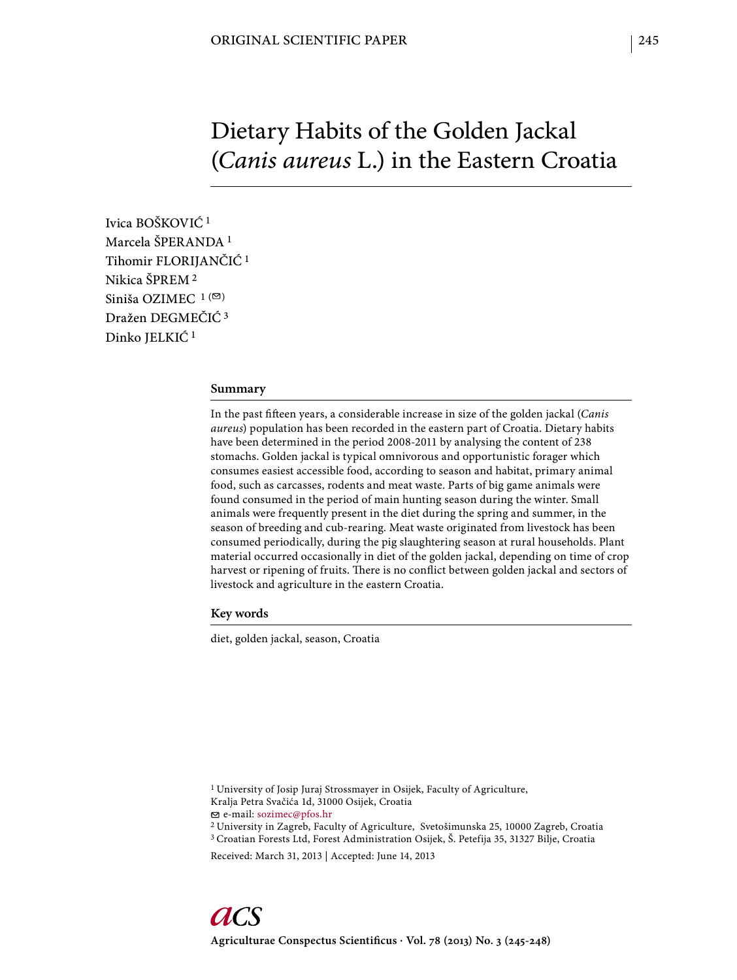# Dietary Habits of the Golden Jackal (*Canis aureus* L.) in the Eastern Croatia

Ivica BOŠKOVIĆ 1 Marcela ŠPERANDA 1 Tihomir FLORIJANČIĆ 1 Nikica ŠPREM 2 Siniša OZIMEC  $1($ Dražen DEGMEČIĆ 3 Dinko JELKIĆ 1

## **Summary**

In the past fifteen years, a considerable increase in size of the golden jackal (*Canis aureus*) population has been recorded in the eastern part of Croatia. Dietary habits have been determined in the period 2008-2011 by analysing the content of 238 stomachs. Golden jackal is typical omnivorous and opportunistic forager which consumes easiest accessible food, according to season and habitat, primary animal food, such as carcasses, rodents and meat waste. Parts of big game animals were found consumed in the period of main hunting season during the winter. Small animals were frequently present in the diet during the spring and summer, in the season of breeding and cub-rearing. Meat waste originated from livestock has been consumed periodically, during the pig slaughtering season at rural households. Plant material occurred occasionally in diet of the golden jackal, depending on time of crop harvest or ripening of fruits. There is no conflict between golden jackal and sectors of livestock and agriculture in the eastern Croatia.

**Key words**

diet, golden jackal, season, Croatia

1 University of Josip Juraj Strossmayer in Osijek, Faculty of Agriculture, Kralja Petra Svačića 1d, 31000 Osijek, Croatia e-mail: sozimec@pfos.hr

2 University in Zagreb, Faculty of Agriculture, Svetošimunska 25, 10000 Zagreb, Croatia 3 Croatian Forests Ltd, Forest Administration Osijek, Š. Petefija 35, 31327 Bilje, Croatia

Received: March 31, 2013 | Accepted: June 14, 2013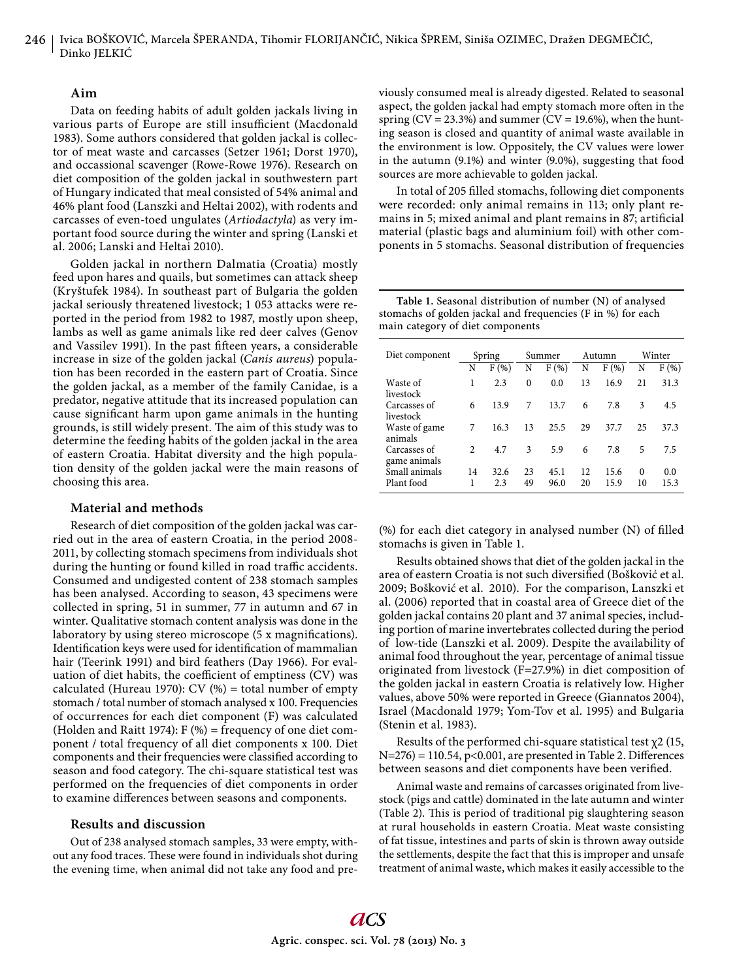## **Aim**

Data on feeding habits of adult golden jackals living in various parts of Europe are still insufficient (Macdonald 1983). Some authors considered that golden jackal is collector of meat waste and carcasses (Setzer 1961; Dorst 1970), and occassional scavenger (Rowe-Rowe 1976). Research on diet composition of the golden jackal in southwestern part of Hungary indicated that meal consisted of 54% animal and 46% plant food (Lanszki and Heltai 2002), with rodents and carcasses of even-toed ungulates (*Artiodactyla*) as very important food source during the winter and spring (Lanski et al. 2006; Lanski and Heltai 2010).

Golden jackal in northern Dalmatia (Croatia) mostly feed upon hares and quails, but sometimes can attack sheep (Kryštufek 1984). In southeast part of Bulgaria the golden jackal seriously threatened livestock; 1 053 attacks were reported in the period from 1982 to 1987, mostly upon sheep, lambs as well as game animals like red deer calves (Genov and Vassilev 1991). In the past fifteen years, a considerable increase in size of the golden jackal (*Canis aureus*) population has been recorded in the eastern part of Croatia. Since the golden jackal, as a member of the family Canidae, is a predator, negative attitude that its increased population can cause significant harm upon game animals in the hunting grounds, is still widely present. The aim of this study was to determine the feeding habits of the golden jackal in the area of eastern Croatia. Habitat diversity and the high population density of the golden jackal were the main reasons of choosing this area.

## **Material and methods**

Research of diet composition of the golden jackal was carried out in the area of eastern Croatia, in the period 2008- 2011, by collecting stomach specimens from individuals shot during the hunting or found killed in road traffic accidents. Consumed and undigested content of 238 stomach samples has been analysed. According to season, 43 specimens were collected in spring, 51 in summer, 77 in autumn and 67 in winter. Qualitative stomach content analysis was done in the laboratory by using stereo microscope (5 x magnifications). Identification keys were used for identification of mammalian hair (Teerink 1991) and bird feathers (Day 1966). For evaluation of diet habits, the coefficient of emptiness (CV) was calculated (Hureau 1970): CV  $(\%)$  = total number of empty stomach / total number of stomach analysed x 100. Frequencies of occurrences for each diet component (F) was calculated (Holden and Raitt 1974): F (%) = frequency of one diet component / total frequency of all diet components x 100. Diet components and their frequencies were classified according to season and food category. The chi-square statistical test was performed on the frequencies of diet components in order to examine differences between seasons and components.

### **Results and discussion**

Out of 238 analysed stomach samples, 33 were empty, without any food traces. These were found in individuals shot during the evening time, when animal did not take any food and previously consumed meal is already digested. Related to seasonal aspect, the golden jackal had empty stomach more often in the spring  $(CV = 23.3%)$  and summer  $(CV = 19.6%)$ , when the hunting season is closed and quantity of animal waste available in the environment is low. Oppositely, the CV values were lower in the autumn (9.1%) and winter (9.0%), suggesting that food sources are more achievable to golden jackal.

In total of 205 filled stomachs, following diet components were recorded: only animal remains in 113; only plant remains in 5; mixed animal and plant remains in 87; artificial material (plastic bags and aluminium foil) with other components in 5 stomachs. Seasonal distribution of frequencies

| Table 1. Seasonal distribution of number (N) of analysed    |
|-------------------------------------------------------------|
| stomachs of golden jackal and frequencies (F in %) for each |
| main category of diet components                            |

| Diet component               | Spring         |             | Summer   |              | Autumn   |              | Winter         |             |
|------------------------------|----------------|-------------|----------|--------------|----------|--------------|----------------|-------------|
|                              | N              | F(%)        | N        | F(%)         | N        | F(%)         | N              | F(%)        |
| Waste of<br>livestock        | 1              | 2.3         | $\theta$ | 0.0          | 13       | 16.9         | 21             | 31.3        |
| Carcasses of<br>livestock    | 6              | 13.9        | 7        | 13.7         | 6        | 7.8          | 3              | 4.5         |
| Waste of game<br>animals     | 7              | 16.3        | 13       | 25.5         | 29       | 37.7         | 25             | 37.3        |
| Carcasses of<br>game animals | $\mathfrak{D}$ | 4.7         | 3        | 5.9          | 6        | 7.8          | 5              | 7.5         |
| Small animals<br>Plant food  | 14<br>1        | 32.6<br>2.3 | 23<br>49 | 45.1<br>96.0 | 12<br>20 | 15.6<br>15.9 | $\Omega$<br>10 | 0.0<br>15.3 |

 $(\%)$  for each diet category in analysed number  $(N)$  of filled stomachs is given in Table 1.

Results obtained shows that diet of the golden jackal in the area of eastern Croatia is not such diversified (Bošković et al. 2009; Bošković et al. 2010). For the comparison, Lanszki et al. (2006) reported that in coastal area of Greece diet of the golden jackal contains 20 plant and 37 animal species, including portion of marine invertebrates collected during the period of low-tide (Lanszki et al. 2009). Despite the availability of animal food throughout the year, percentage of animal tissue originated from livestock (F=27.9%) in diet composition of the golden jackal in eastern Croatia is relatively low. Higher values, above 50% were reported in Greece (Giannatos 2004), Israel (Macdonald 1979; Yom-Tov et al. 1995) and Bulgaria (Stenin et al. 1983).

Results of the performed chi-square statistical test  $\chi$ 2 (15,  $N=276$ ) = 110.54, p<0.001, are presented in Table 2. Differences between seasons and diet components have been verified.

Animal waste and remains of carcasses originated from livestock (pigs and cattle) dominated in the late autumn and winter (Table 2). This is period of traditional pig slaughtering season at rural households in eastern Croatia. Meat waste consisting of fat tissue, intestines and parts of skin is thrown away outside the settlements, despite the fact that this is improper and unsafe treatment of animal waste, which makes it easily accessible to the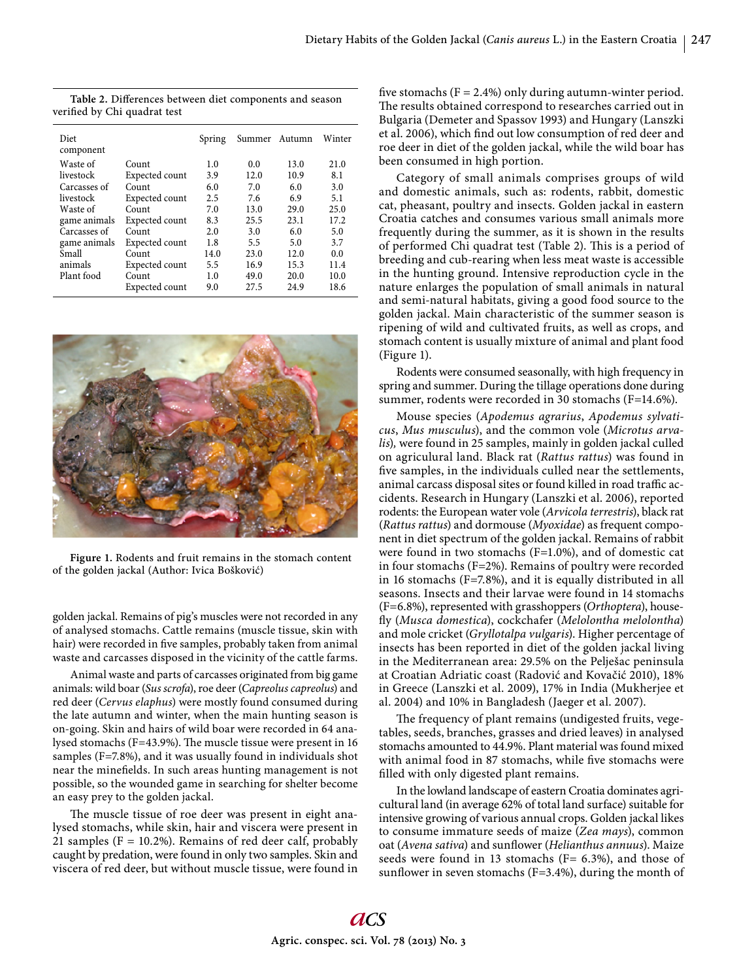| Diet<br>component |                | Spring |      | Summer Autumn | Winter |
|-------------------|----------------|--------|------|---------------|--------|
| Waste of          | Count          | 1.0    | 0.0  | 13.0          | 21.0   |
| livestock         | Expected count | 3.9    | 12.0 | 10.9          | 8.1    |
| Carcasses of      | Count          | 6.0    | 7.0  | 6.0           | 3.0    |
| livestock         | Expected count | 2.5    | 7.6  | 6.9           | 5.1    |
| Waste of          | Count          | 7.0    | 13.0 | 29.0          | 25.0   |
| game animals      | Expected count | 8.3    | 25.5 | 23.1          | 17.2   |
| Carcasses of      | Count          | 2.0    | 3.0  | 6.0           | 5.0    |
| game animals      | Expected count | 1.8    | 5.5  | 5.0           | 3.7    |
| Small             | Count          | 14.0   | 23.0 | 12.0          | 0.0    |
| animals           | Expected count | 5.5    | 16.9 | 15.3          | 11.4   |
| Plant food        | Count          | 1.0    | 49.0 | 20.0          | 10.0   |
|                   | Expected count | 9.0    | 27.5 | 24.9          | 18.6   |

Table 2. Differences between diet components and season verified by Chi quadrat test



**Figure 1.** Rodents and fruit remains in the stomach content of the golden jackal (Author: Ivica Bošković)

golden jackal. Remains of pig's muscles were not recorded in any of analysed stomachs. Cattle remains (muscle tissue, skin with hair) were recorded in five samples, probably taken from animal waste and carcasses disposed in the vicinity of the cattle farms.

Animal waste and parts of carcasses originated from big game animals: wild boar (*Sus scrofa*), roe deer (*Capreolus capreolus*) and red deer (*Cervus elaphus*) were mostly found consumed during the late autumn and winter, when the main hunting season is on-going. Skin and hairs of wild boar were recorded in 64 analysed stomachs (F=43.9%). The muscle tissue were present in 16 samples (F=7.8%), and it was usually found in individuals shot near the minefields. In such areas hunting management is not possible, so the wounded game in searching for shelter become an easy prey to the golden jackal.

The muscle tissue of roe deer was present in eight analysed stomachs, while skin, hair and viscera were present in 21 samples ( $F = 10.2\%$ ). Remains of red deer calf, probably caught by predation, were found in only two samples. Skin and viscera of red deer, but without muscle tissue, were found in five stomachs  $(F = 2.4\%)$  only during autumn-winter period. The results obtained correspond to researches carried out in Bulgaria (Demeter and Spassov 1993) and Hungary (Lanszki et al. 2006), which find out low consumption of red deer and roe deer in diet of the golden jackal, while the wild boar has been consumed in high portion.

Category of small animals comprises groups of wild and domestic animals, such as: rodents, rabbit, domestic cat, pheasant, poultry and insects. Golden jackal in eastern Croatia catches and consumes various small animals more frequently during the summer, as it is shown in the results of performed Chi quadrat test (Table 2). This is a period of breeding and cub-rearing when less meat waste is accessible in the hunting ground. Intensive reproduction cycle in the nature enlarges the population of small animals in natural and semi-natural habitats, giving a good food source to the golden jackal. Main characteristic of the summer season is ripening of wild and cultivated fruits, as well as crops, and stomach content is usually mixture of animal and plant food (Figure 1).

Rodents were consumed seasonally, with high frequency in spring and summer. During the tillage operations done during summer, rodents were recorded in 30 stomachs (F=14.6%).

Mouse species (*Apodemus agrarius*, *Apodemus sylvaticus*, *Mus musculus*), and the common vole (*Microtus arvalis*)*,* were found in 25 samples, mainly in golden jackal culled on agriculural land. Black rat (*Rattus rattus*) was found in five samples, in the individuals culled near the settlements, animal carcass disposal sites or found killed in road traffic accidents. Research in Hungary (Lanszki et al. 2006), reported rodents: the European water vole (*Arvicola terrestris*), black rat (*Rattus rattus*) and dormouse (*Myoxidae*) as frequent component in diet spectrum of the golden jackal. Remains of rabbit were found in two stomachs (F=1.0%), and of domestic cat in four stomachs (F=2%). Remains of poultry were recorded in 16 stomachs (F=7.8%), and it is equally distributed in all seasons. Insects and their larvae were found in 14 stomachs (F=6.8%), represented with grasshoppers (*Orthoptera*), housefly (Musca domestica), cockchafer (Melolontha melolontha) and mole cricket (*Gryllotalpa vulgaris*). Higher percentage of insects has been reported in diet of the golden jackal living in the Mediterranean area: 29.5% on the Pelješac peninsula at Croatian Adriatic coast (Radović and Kovačić 2010), 18% in Greece (Lanszki et al. 2009), 17% in India (Mukherjee et al. 2004) and 10% in Bangladesh (Jaeger et al. 2007).

The frequency of plant remains (undigested fruits, vegetables, seeds, branches, grasses and dried leaves) in analysed stomachs amounted to 44.9%. Plant material was found mixed with animal food in 87 stomachs, while five stomachs were filled with only digested plant remains.

In the lowland landscape of eastern Croatia dominates agricultural land (in average 62% of total land surface) suitable for intensive growing of various annual crops. Golden jackal likes to consume immature seeds of maize (*Zea mays*), common oat (*Avena sativa*) and sunflower (*Helianthus annuus*). Maize seeds were found in 13 stomachs ( $F= 6.3\%$ ), and those of sunflower in seven stomachs (F=3.4%), during the month of